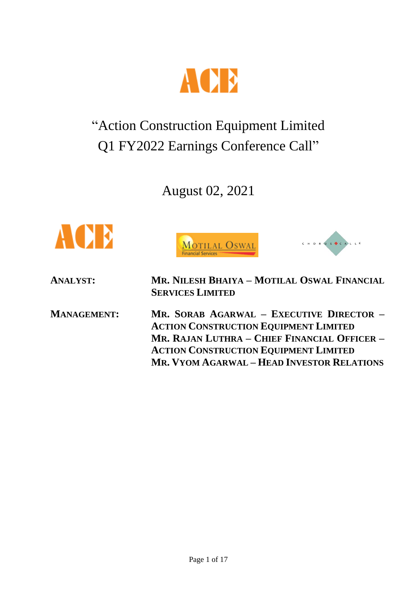

# "Action Construction Equipment Limited Q1 FY2022 Earnings Conference Call"

August 02, 2021







**ANALYST: MR. NILESH BHAIYA – MOTILAL OSWAL FINANCIAL SERVICES LIMITED**

**MANAGEMENT: MR. SORAB AGARWAL – EXECUTIVE DIRECTOR – ACTION CONSTRUCTION EQUIPMENT LIMITED MR. RAJAN LUTHRA – CHIEF FINANCIAL OFFICER – ACTION CONSTRUCTION EQUIPMENT LIMITED MR. VYOM AGARWAL – HEAD INVESTOR RELATIONS**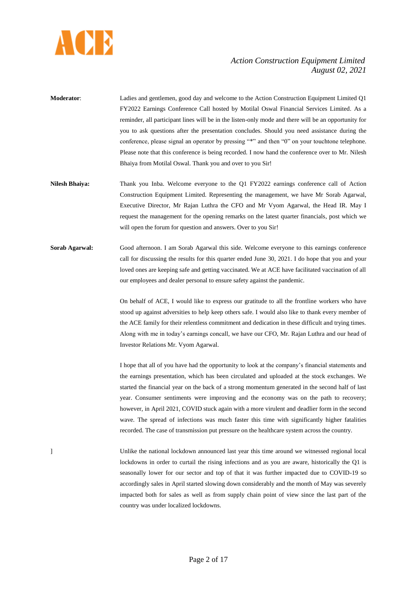

- **Moderator**: Ladies and gentlemen, good day and welcome to the Action Construction Equipment Limited Q1 FY2022 Earnings Conference Call hosted by Motilal Oswal Financial Services Limited. As a reminder, all participant lines will be in the listen-only mode and there will be an opportunity for you to ask questions after the presentation concludes. Should you need assistance during the conference, please signal an operator by pressing "\*" and then "0" on your touchtone telephone. Please note that this conference is being recorded. I now hand the conference over to Mr. Nilesh Bhaiya from Motilal Oswal. Thank you and over to you Sir!
- **Nilesh Bhaiya:** Thank you Inba. Welcome everyone to the Q1 FY2022 earnings conference call of Action Construction Equipment Limited. Representing the management, we have Mr Sorab Agarwal, Executive Director, Mr Rajan Luthra the CFO and Mr Vyom Agarwal, the Head IR. May I request the management for the opening remarks on the latest quarter financials, post which we will open the forum for question and answers. Over to you Sir!
- **Sorab Agarwal:** Good afternoon. I am Sorab Agarwal this side. Welcome everyone to this earnings conference call for discussing the results for this quarter ended June 30, 2021. I do hope that you and your loved ones are keeping safe and getting vaccinated. We at ACE have facilitated vaccination of all our employees and dealer personal to ensure safety against the pandemic.

On behalf of ACE, I would like to express our gratitude to all the frontline workers who have stood up against adversities to help keep others safe. I would also like to thank every member of the ACE family for their relentless commitment and dedication in these difficult and trying times. Along with me in today's earnings concall, we have our CFO, Mr. Rajan Luthra and our head of Investor Relations Mr. Vyom Agarwal.

I hope that all of you have had the opportunity to look at the company's financial statements and the earnings presentation, which has been circulated and uploaded at the stock exchanges. We started the financial year on the back of a strong momentum generated in the second half of last year. Consumer sentiments were improving and the economy was on the path to recovery; however, in April 2021, COVID stuck again with a more virulent and deadlier form in the second wave. The spread of infections was much faster this time with significantly higher fatalities recorded. The case of transmission put pressure on the healthcare system across the country.

] Unlike the national lockdown announced last year this time around we witnessed regional local lockdowns in order to curtail the rising infections and as you are aware, historically the Q1 is seasonally lower for our sector and top of that it was further impacted due to COVID-19 so accordingly sales in April started slowing down considerably and the month of May was severely impacted both for sales as well as from supply chain point of view since the last part of the country was under localized lockdowns.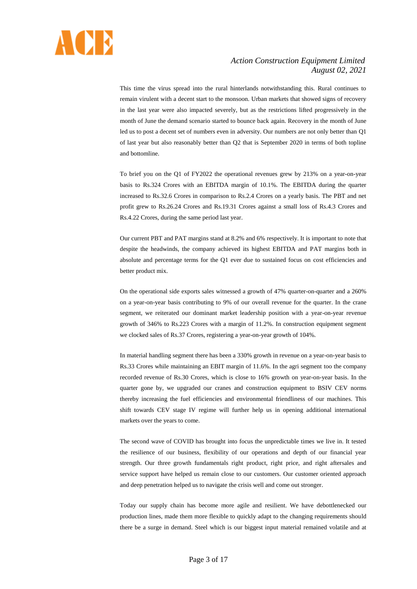

This time the virus spread into the rural hinterlands notwithstanding this. Rural continues to remain virulent with a decent start to the monsoon. Urban markets that showed signs of recovery in the last year were also impacted severely, but as the restrictions lifted progressively in the month of June the demand scenario started to bounce back again. Recovery in the month of June led us to post a decent set of numbers even in adversity. Our numbers are not only better than Q1 of last year but also reasonably better than Q2 that is September 2020 in terms of both topline and bottomline.

To brief you on the Q1 of FY2022 the operational revenues grew by 213% on a year-on-year basis to Rs.324 Crores with an EBITDA margin of 10.1%. The EBITDA during the quarter increased to Rs.32.6 Crores in comparison to Rs.2.4 Crores on a yearly basis. The PBT and net profit grew to Rs.26.24 Crores and Rs.19.31 Crores against a small loss of Rs.4.3 Crores and Rs.4.22 Crores, during the same period last year.

Our current PBT and PAT margins stand at 8.2% and 6% respectively. It is important to note that despite the headwinds, the company achieved its highest EBITDA and PAT margins both in absolute and percentage terms for the Q1 ever due to sustained focus on cost efficiencies and better product mix.

On the operational side exports sales witnessed a growth of 47% quarter-on-quarter and a 260% on a year-on-year basis contributing to 9% of our overall revenue for the quarter. In the crane segment, we reiterated our dominant market leadership position with a year-on-year revenue growth of 346% to Rs.223 Crores with a margin of 11.2%. In construction equipment segment we clocked sales of Rs.37 Crores, registering a year-on-year growth of 104%.

In material handling segment there has been a 330% growth in revenue on a year-on-year basis to Rs.33 Crores while maintaining an EBIT margin of 11.6%. In the agri segment too the company recorded revenue of Rs.30 Crores, which is close to 16% growth on year-on-year basis. In the quarter gone by, we upgraded our cranes and construction equipment to BSIV CEV norms thereby increasing the fuel efficiencies and environmental friendliness of our machines. This shift towards CEV stage IV regime will further help us in opening additional international markets over the years to come.

The second wave of COVID has brought into focus the unpredictable times we live in. It tested the resilience of our business, flexibility of our operations and depth of our financial year strength. Our three growth fundamentals right product, right price, and right aftersales and service support have helped us remain close to our customers. Our customer oriented approach and deep penetration helped us to navigate the crisis well and come out stronger.

Today our supply chain has become more agile and resilient. We have debottlenecked our production lines, made them more flexible to quickly adapt to the changing requirements should there be a surge in demand. Steel which is our biggest input material remained volatile and at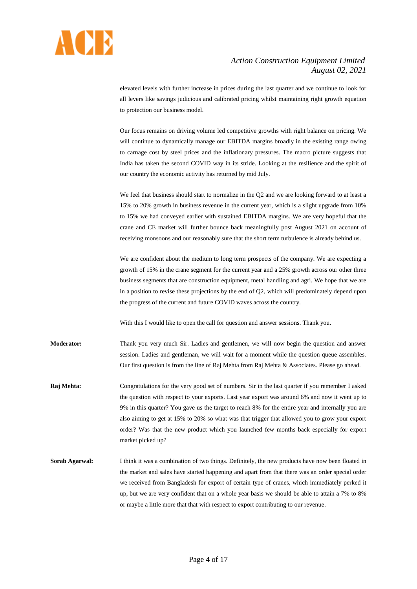

elevated levels with further increase in prices during the last quarter and we continue to look for all levers like savings judicious and calibrated pricing whilst maintaining right growth equation to protection our business model.

Our focus remains on driving volume led competitive growths with right balance on pricing. We will continue to dynamically manage our EBITDA margins broadly in the existing range owing to carnage cost by steel prices and the inflationary pressures. The macro picture suggests that India has taken the second COVID way in its stride. Looking at the resilience and the spirit of our country the economic activity has returned by mid July.

We feel that business should start to normalize in the Q2 and we are looking forward to at least a 15% to 20% growth in business revenue in the current year, which is a slight upgrade from 10% to 15% we had conveyed earlier with sustained EBITDA margins. We are very hopeful that the crane and CE market will further bounce back meaningfully post August 2021 on account of receiving monsoons and our reasonably sure that the short term turbulence is already behind us.

We are confident about the medium to long term prospects of the company. We are expecting a growth of 15% in the crane segment for the current year and a 25% growth across our other three business segments that are construction equipment, metal handling and agri. We hope that we are in a position to revise these projections by the end of Q2, which will predominately depend upon the progress of the current and future COVID waves across the country.

With this I would like to open the call for question and answer sessions. Thank you.

**Moderator:** Thank you very much Sir. Ladies and gentlemen, we will now begin the question and answer session. Ladies and gentleman, we will wait for a moment while the question queue assembles. Our first question is from the line of Raj Mehta from Raj Mehta & Associates. Please go ahead.

- **Raj Mehta:** Congratulations for the very good set of numbers. Sir in the last quarter if you remember I asked the question with respect to your exports. Last year export was around 6% and now it went up to 9% in this quarter? You gave us the target to reach 8% for the entire year and internally you are also aiming to get at 15% to 20% so what was that trigger that allowed you to grow your export order? Was that the new product which you launched few months back especially for export market picked up?
- **Sorab Agarwal:** I think it was a combination of two things. Definitely, the new products have now been floated in the market and sales have started happening and apart from that there was an order special order we received from Bangladesh for export of certain type of cranes, which immediately perked it up, but we are very confident that on a whole year basis we should be able to attain a 7% to 8% or maybe a little more that that with respect to export contributing to our revenue.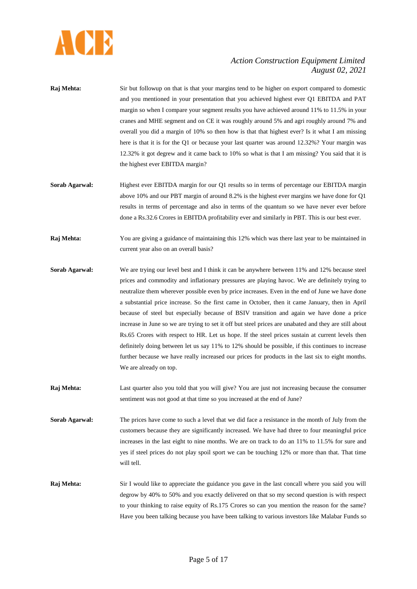

- **Raj Mehta:** Sir but followup on that is that your margins tend to be higher on export compared to domestic and you mentioned in your presentation that you achieved highest ever Q1 EBITDA and PAT margin so when I compare your segment results you have achieved around 11% to 11.5% in your cranes and MHE segment and on CE it was roughly around 5% and agri roughly around 7% and overall you did a margin of 10% so then how is that that highest ever? Is it what I am missing here is that it is for the Q1 or because your last quarter was around 12.32%? Your margin was 12.32% it got degrew and it came back to 10% so what is that I am missing? You said that it is the highest ever EBITDA margin?
- **Sorab Agarwal:** Highest ever EBITDA margin for our Q1 results so in terms of percentage our EBITDA margin above 10% and our PBT margin of around 8.2% is the highest ever margins we have done for Q1 results in terms of percentage and also in terms of the quantum so we have never ever before done a Rs.32.6 Crores in EBITDA profitability ever and similarly in PBT. This is our best ever.
- **Raj Mehta:** You are giving a guidance of maintaining this 12% which was there last year to be maintained in current year also on an overall basis?
- **Sorab Agarwal:** We are trying our level best and I think it can be anywhere between 11% and 12% because steel prices and commodity and inflationary pressures are playing havoc. We are definitely trying to neutralize them wherever possible even by price increases. Even in the end of June we have done a substantial price increase. So the first came in October, then it came January, then in April because of steel but especially because of BSIV transition and again we have done a price increase in June so we are trying to set it off but steel prices are unabated and they are still about Rs.65 Crores with respect to HR. Let us hope. If the steel prices sustain at current levels then definitely doing between let us say 11% to 12% should be possible, if this continues to increase further because we have really increased our prices for products in the last six to eight months. We are already on top.
- **Raj Mehta:** Last quarter also you told that you will give? You are just not increasing because the consumer sentiment was not good at that time so you increased at the end of June?
- **Sorab Agarwal:** The prices have come to such a level that we did face a resistance in the month of July from the customers because they are significantly increased. We have had three to four meaningful price increases in the last eight to nine months. We are on track to do an 11% to 11.5% for sure and yes if steel prices do not play spoil sport we can be touching 12% or more than that. That time will tell.
- **Raj Mehta:** Sir I would like to appreciate the guidance you gave in the last concall where you said you will degrow by 40% to 50% and you exactly delivered on that so my second question is with respect to your thinking to raise equity of Rs.175 Crores so can you mention the reason for the same? Have you been talking because you have been talking to various investors like Malabar Funds so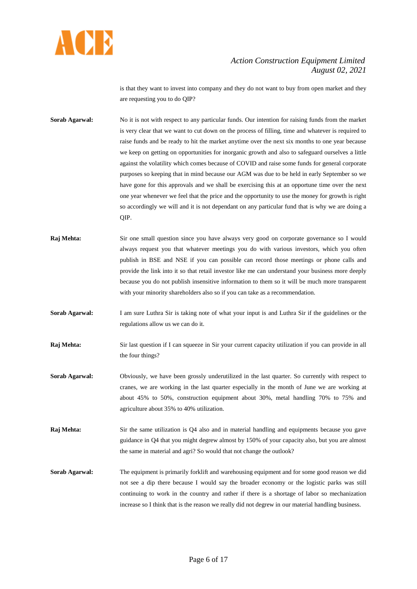

is that they want to invest into company and they do not want to buy from open market and they are requesting you to do QIP?

- **Sorab Agarwal:** No it is not with respect to any particular funds. Our intention for raising funds from the market is very clear that we want to cut down on the process of filling, time and whatever is required to raise funds and be ready to hit the market anytime over the next six months to one year because we keep on getting on opportunities for inorganic growth and also to safeguard ourselves a little against the volatility which comes because of COVID and raise some funds for general corporate purposes so keeping that in mind because our AGM was due to be held in early September so we have gone for this approvals and we shall be exercising this at an opportune time over the next one year whenever we feel that the price and the opportunity to use the money for growth is right so accordingly we will and it is not dependant on any particular fund that is why we are doing a QIP.
- **Raj Mehta:** Sir one small question since you have always very good on corporate governance so I would always request you that whatever meetings you do with various investors, which you often publish in BSE and NSE if you can possible can record those meetings or phone calls and provide the link into it so that retail investor like me can understand your business more deeply because you do not publish insensitive information to them so it will be much more transparent with your minority shareholders also so if you can take as a recommendation.
- **Sorab Agarwal:** I am sure Luthra Sir is taking note of what your input is and Luthra Sir if the guidelines or the regulations allow us we can do it.
- **Raj Mehta:** Sir last question if I can squeeze in Sir your current capacity utilization if you can provide in all the four things?
- **Sorab Agarwal:** Obviously, we have been grossly underutilized in the last quarter. So currently with respect to cranes, we are working in the last quarter especially in the month of June we are working at about 45% to 50%, construction equipment about 30%, metal handling 70% to 75% and agriculture about 35% to 40% utilization.
- **Raj Mehta:** Sir the same utilization is Q4 also and in material handling and equipments because you gave guidance in Q4 that you might degrew almost by 150% of your capacity also, but you are almost the same in material and agri? So would that not change the outlook?
- **Sorab Agarwal:** The equipment is primarily forklift and warehousing equipment and for some good reason we did not see a dip there because I would say the broader economy or the logistic parks was still continuing to work in the country and rather if there is a shortage of labor so mechanization increase so I think that is the reason we really did not degrew in our material handling business.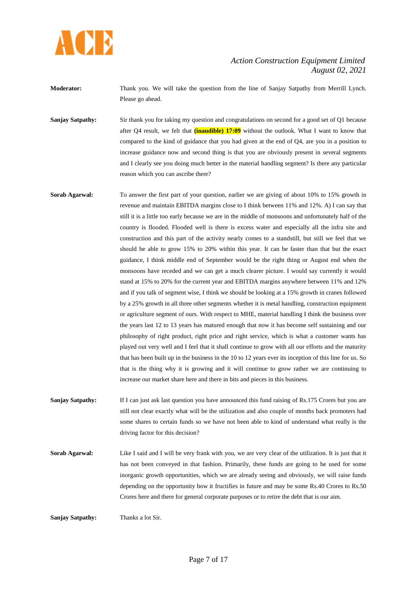

**Moderator:** Thank you. We will take the question from the line of Sanjay Satpathy from Merrill Lynch. Please go ahead.

**Sanjay Satpathy:** Sir thank you for taking my question and congratulations on second for a good set of O1 because after Q4 result, we felt that **(inaudible) 17:09** without the outlook. What I want to know that compared to the kind of guidance that you had given at the end of Q4, are you in a position to increase guidance now and second thing is that you are obviously present in several segments and I clearly see you doing much better in the material handling segment? Is there any particular reason which you can ascribe there?

**Sorab Agarwal:** To answer the first part of your question, earlier we are giving of about 10% to 15% growth in revenue and maintain EBITDA margins close to I think between 11% and 12%. A) I can say that still it is a little too early because we are in the middle of monsoons and unfortunately half of the country is flooded. Flooded well is there is excess water and especially all the infra site and construction and this part of the activity nearly comes to a standstill, but still we feel that we should be able to grow 15% to 20% within this year. It can be faster than that but the exact guidance, I think middle end of September would be the right thing or August end when the monsoons have receded and we can get a much clearer picture. I would say currently it would stand at 15% to 20% for the current year and EBITDA margins anywhere between 11% and 12% and if you talk of segment wise, I think we should be looking at a 15% growth in cranes followed by a 25% growth in all three other segments whether it is metal handling, construction equipment or agriculture segment of ours. With respect to MHE, material handling I think the business over the years last 12 to 13 years has matured enough that now it has become self sustaining and our philosophy of right product, right price and right service, which is what a customer wants has played out very well and I feel that it shall continue to grow with all our efforts and the maturity that has been built up in the business in the 10 to 12 years ever its inception of this line for us. So that is the thing why it is growing and it will continue to grow rather we are continuing to increase our market share here and there in bits and pieces in this business.

**Sanjay Satpathy:** If I can just ask last question you have announced this fund raising of Rs.175 Crores but you are still not clear exactly what will be the utilization and also couple of months back promoters had some shares to certain funds so we have not been able to kind of understand what really is the driving factor for this decision?

**Sorab Agarwal:** Like I said and I will be very frank with you, we are very clear of the utilization. It is just that it has not been conveyed in that fashion. Primarily, these funds are going to be used for some inorganic growth opportunities, which we are already seeing and obviously, we will raise funds depending on the opportunity how it fructifies in future and may be some Rs.40 Crores to Rs.50 Crores here and there for general corporate purposes or to retire the debt that is our aim.

**Sanjay Satpathy:** Thanks a lot Sir.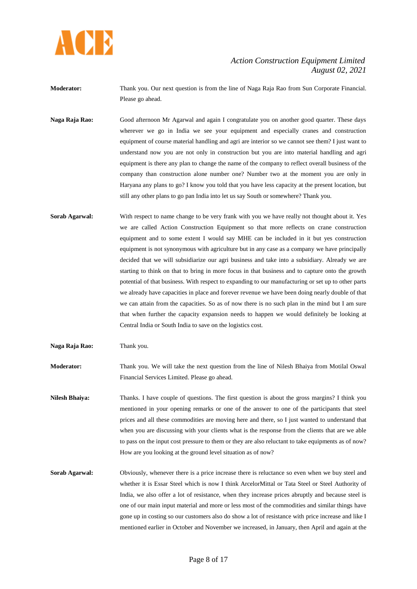

**Moderator:** Thank you. Our next question is from the line of Naga Raja Rao from Sun Corporate Financial. Please go ahead.

**Naga Raja Rao:** Good afternoon Mr Agarwal and again I congratulate you on another good quarter. These days wherever we go in India we see your equipment and especially cranes and construction equipment of course material handling and agri are interior so we cannot see them? I just want to understand now you are not only in construction but you are into material handling and agri equipment is there any plan to change the name of the company to reflect overall business of the company than construction alone number one? Number two at the moment you are only in Haryana any plans to go? I know you told that you have less capacity at the present location, but still any other plans to go pan India into let us say South or somewhere? Thank you.

**Sorab Agarwal:** With respect to name change to be very frank with you we have really not thought about it. Yes we are called Action Construction Equipment so that more reflects on crane construction equipment and to some extent I would say MHE can be included in it but yes construction equipment is not synonymous with agriculture but in any case as a company we have principally decided that we will subsidiarize our agri business and take into a subsidiary. Already we are starting to think on that to bring in more focus in that business and to capture onto the growth potential of that business. With respect to expanding to our manufacturing or set up to other parts we already have capacities in place and forever revenue we have been doing nearly double of that we can attain from the capacities. So as of now there is no such plan in the mind but I am sure that when further the capacity expansion needs to happen we would definitely be looking at Central India or South India to save on the logistics cost.

**Naga Raja Rao:** Thank you.

**Moderator:** Thank you. We will take the next question from the line of Nilesh Bhaiya from Motilal Oswal Financial Services Limited. Please go ahead.

**Nilesh Bhaiya:** Thanks. I have couple of questions. The first question is about the gross margins? I think you mentioned in your opening remarks or one of the answer to one of the participants that steel prices and all these commodities are moving here and there, so I just wanted to understand that when you are discussing with your clients what is the response from the clients that are we able to pass on the input cost pressure to them or they are also reluctant to take equipments as of now? How are you looking at the ground level situation as of now?

**Sorab Agarwal:** Obviously, whenever there is a price increase there is reluctance so even when we buy steel and whether it is Essar Steel which is now I think ArcelorMittal or Tata Steel or Steel Authority of India, we also offer a lot of resistance, when they increase prices abruptly and because steel is one of our main input material and more or less most of the commodities and similar things have gone up in costing so our customers also do show a lot of resistance with price increase and like I mentioned earlier in October and November we increased, in January, then April and again at the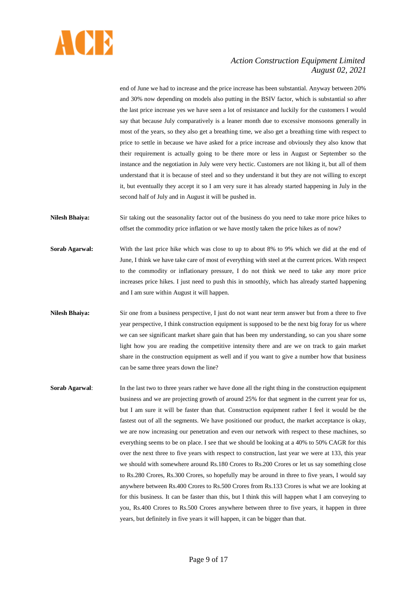

end of June we had to increase and the price increase has been substantial. Anyway between 20% and 30% now depending on models also putting in the BSIV factor, which is substantial so after the last price increase yes we have seen a lot of resistance and luckily for the customers I would say that because July comparatively is a leaner month due to excessive monsoons generally in most of the years, so they also get a breathing time, we also get a breathing time with respect to price to settle in because we have asked for a price increase and obviously they also know that their requirement is actually going to be there more or less in August or September so the instance and the negotiation in July were very hectic. Customers are not liking it, but all of them understand that it is because of steel and so they understand it but they are not willing to except it, but eventually they accept it so I am very sure it has already started happening in July in the second half of July and in August it will be pushed in.

- **Nilesh Bhaiya:** Sir taking out the seasonality factor out of the business do you need to take more price hikes to offset the commodity price inflation or we have mostly taken the price hikes as of now?
- **Sorab Agarwal:** With the last price hike which was close to up to about 8% to 9% which we did at the end of June, I think we have take care of most of everything with steel at the current prices. With respect to the commodity or inflationary pressure, I do not think we need to take any more price increases price hikes. I just need to push this in smoothly, which has already started happening and I am sure within August it will happen.
- **Nilesh Bhaiya:** Sir one from a business perspective, I just do not want near term answer but from a three to five year perspective, I think construction equipment is supposed to be the next big foray for us where we can see significant market share gain that has been my understanding, so can you share some light how you are reading the competitive intensity there and are we on track to gain market share in the construction equipment as well and if you want to give a number how that business can be same three years down the line?
- **Sorab Agarwal:** In the last two to three years rather we have done all the right thing in the construction equipment business and we are projecting growth of around 25% for that segment in the current year for us, but I am sure it will be faster than that. Construction equipment rather I feel it would be the fastest out of all the segments. We have positioned our product, the market acceptance is okay, we are now increasing our penetration and even our network with respect to these machines, so everything seems to be on place. I see that we should be looking at a 40% to 50% CAGR for this over the next three to five years with respect to construction, last year we were at 133, this year we should with somewhere around Rs.180 Crores to Rs.200 Crores or let us say something close to Rs.280 Crores, Rs.300 Crores, so hopefully may be around in three to five years, I would say anywhere between Rs.400 Crores to Rs.500 Crores from Rs.133 Crores is what we are looking at for this business. It can be faster than this, but I think this will happen what I am conveying to you, Rs.400 Crores to Rs.500 Crores anywhere between three to five years, it happen in three years, but definitely in five years it will happen, it can be bigger than that.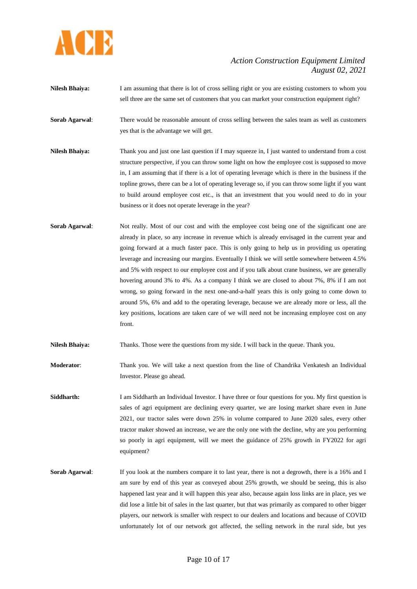

- **Nilesh Bhaiya:** I am assuming that there is lot of cross selling right or you are existing customers to whom you sell three are the same set of customers that you can market your construction equipment right?
- **Sorab Agarwal:** There would be reasonable amount of cross selling between the sales team as well as customers yes that is the advantage we will get.
- **Nilesh Bhaiya:** Thank you and just one last question if I may squeeze in, I just wanted to understand from a cost structure perspective, if you can throw some light on how the employee cost is supposed to move in, I am assuming that if there is a lot of operating leverage which is there in the business if the topline grows, there can be a lot of operating leverage so, if you can throw some light if you want to build around employee cost etc., is that an investment that you would need to do in your business or it does not operate leverage in the year?
- **Sorab Agarwal:** Not really. Most of our cost and with the employee cost being one of the significant one are already in place, so any increase in revenue which is already envisaged in the current year and going forward at a much faster pace. This is only going to help us in providing us operating leverage and increasing our margins. Eventually I think we will settle somewhere between 4.5% and 5% with respect to our employee cost and if you talk about crane business, we are generally hovering around 3% to 4%. As a company I think we are closed to about 7%, 8% if I am not wrong, so going forward in the next one-and-a-half years this is only going to come down to around 5%, 6% and add to the operating leverage, because we are already more or less, all the key positions, locations are taken care of we will need not be increasing employee cost on any front.
- **Nilesh Bhaiya:** Thanks. Those were the questions from my side. I will back in the queue. Thank you.
- **Moderator**: Thank you. We will take a next question from the line of Chandrika Venkatesh an Individual Investor. Please go ahead.
- **Siddharth:** I am Siddharth an Individual Investor. I have three or four questions for you. My first question is sales of agri equipment are declining every quarter, we are losing market share even in June 2021, our tractor sales were down 25% in volume compared to June 2020 sales, every other tractor maker showed an increase, we are the only one with the decline, why are you performing so poorly in agri equipment, will we meet the guidance of 25% growth in FY2022 for agri equipment?
- **Sorab Agarwal:** If you look at the numbers compare it to last year, there is not a degrowth, there is a 16% and I am sure by end of this year as conveyed about 25% growth, we should be seeing, this is also happened last year and it will happen this year also, because again loss links are in place, yes we did lose a little bit of sales in the last quarter, but that was primarily as compared to other bigger players, our network is smaller with respect to our dealers and locations and because of COVID unfortunately lot of our network got affected, the selling network in the rural side, but yes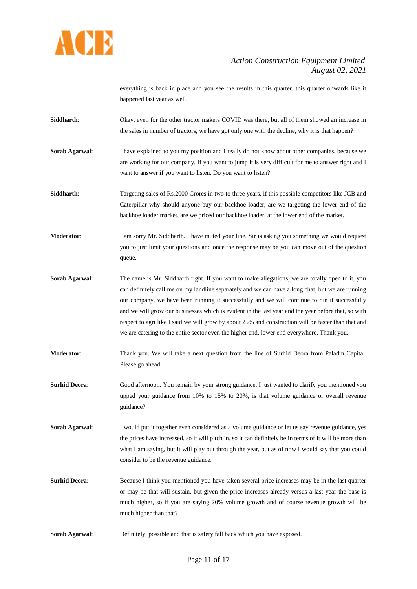

everything is back in place and you see the results in this quarter, this quarter onwards like it happened last year as well.

- **Siddharth**: Okay, even for the other tractor makers COVID was there, but all of them showed an increase in the sales in number of tractors, we have got only one with the decline, why it is that happen?
- **Sorab Agarwal:** I have explained to you my position and I really do not know about other companies, because we are working for our company. If you want to jump it is very difficult for me to answer right and I want to answer if you want to listen. Do you want to listen?
- **Siddharth:** Targeting sales of Rs.2000 Crores in two to three years, if this possible competitors like JCB and Caterpillar why should anyone buy our backhoe loader, are we targeting the lower end of the backhoe loader market, are we priced our backhoe loader, at the lower end of the market.
- **Moderator:** I am sorry Mr. Siddharth. I have muted your line. Sir is asking you something we would request you to just limit your questions and once the response may be you can move out of the question queue.
- **Sorab Agarwal:** The name is Mr. Siddharth right. If you want to make allegations, we are totally open to it, you can definitely call me on my landline separately and we can have a long chat, but we are running our company, we have been running it successfully and we will continue to run it successfully and we will grow our businesses which is evident in the last year and the year before that, so with respect to agri like I said we will grow by about 25% and construction will be faster than that and we are catering to the entire sector even the higher end, lower end everywhere. Thank you.
- **Moderator**: Thank you. We will take a next question from the line of Surhid Deora from Paladin Capital. Please go ahead.
- **Surhid Deora:** Good afternoon. You remain by your strong guidance. I just wanted to clarify you mentioned you upped your guidance from 10% to 15% to 20%, is that volume guidance or overall revenue guidance?
- **Sorab Agarwal:** I would put it together even considered as a volume guidance or let us say revenue guidance, yes the prices have increased, so it will pitch in, so it can definitely be in terms of it will be more than what I am saying, but it will play out through the year, but as of now I would say that you could consider to be the revenue guidance.
- **Surhid Deora:** Because I think you mentioned you have taken several price increases may be in the last quarter or may be that will sustain, but given the price increases already versus a last year the base is much higher, so if you are saying 20% volume growth and of course revenue growth will be much higher than that?
- **Sorab Agarwal**: Definitely, possible and that is safety fall back which you have exposed.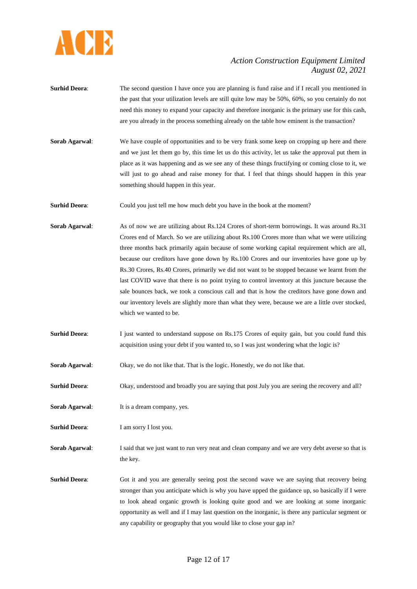

- **Surhid Deora:** The second question I have once you are planning is fund raise and if I recall you mentioned in the past that your utilization levels are still quite low may be 50%, 60%, so you certainly do not need this money to expand your capacity and therefore inorganic is the primary use for this cash, are you already in the process something already on the table how eminent is the transaction?
- **Sorab Agarwal:** We have couple of opportunities and to be very frank some keep on cropping up here and there and we just let them go by, this time let us do this activity, let us take the approval put them in place as it was happening and as we see any of these things fructifying or coming close to it, we will just to go ahead and raise money for that. I feel that things should happen in this year something should happen in this year.
- **Surhid Deora:** Could you just tell me how much debt you have in the book at the moment?
- **Sorab Agarwal**: As of now we are utilizing about Rs.124 Crores of short-term borrowings. It was around Rs.31 Crores end of March. So we are utilizing about Rs.100 Crores more than what we were utilizing three months back primarily again because of some working capital requirement which are all, because our creditors have gone down by Rs.100 Crores and our inventories have gone up by Rs.30 Crores, Rs.40 Crores, primarily we did not want to be stopped because we learnt from the last COVID wave that there is no point trying to control inventory at this juncture because the sale bounces back, we took a conscious call and that is how the creditors have gone down and our inventory levels are slightly more than what they were, because we are a little over stocked, which we wanted to be.
- **Surhid Deora:** I just wanted to understand suppose on Rs.175 Crores of equity gain, but you could fund this acquisition using your debt if you wanted to, so I was just wondering what the logic is?
- **Sorab Agarwal:** Okay, we do not like that. That is the logic. Honestly, we do not like that.
- **Surhid Deora**: Okay, understood and broadly you are saying that post July you are seeing the recovery and all?
- **Sorab Agarwal:** It is a dream company, yes.
- **Surhid Deora:** I am sorry I lost you.
- **Sorab Agarwal:** I said that we just want to run very neat and clean company and we are very debt averse so that is the key.
- **Surhid Deora:** Got it and you are generally seeing post the second wave we are saying that recovery being stronger than you anticipate which is why you have upped the guidance up, so basically if I were to look ahead organic growth is looking quite good and we are looking at some inorganic opportunity as well and if I may last question on the inorganic, is there any particular segment or any capability or geography that you would like to close your gap in?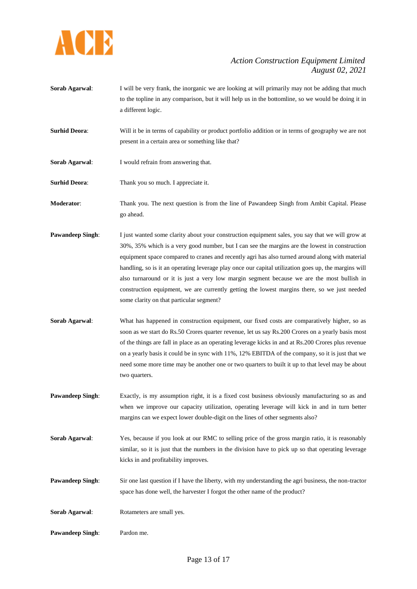

- **Sorab Agarwal:** I will be very frank, the inorganic we are looking at will primarily may not be adding that much to the topline in any comparison, but it will help us in the bottomline, so we would be doing it in a different logic.
- **Surhid Deora:** Will it be in terms of capability or product portfolio addition or in terms of geography we are not present in a certain area or something like that?
- **Sorab Agarwal**: I would refrain from answering that.

**Surhid Deora:** Thank you so much. I appreciate it.

**Moderator**: Thank you. The next question is from the line of Pawandeep Singh from Ambit Capital. Please go ahead.

- **Pawandeep Singh:** I just wanted some clarity about your construction equipment sales, you say that we will grow at 30%, 35% which is a very good number, but I can see the margins are the lowest in construction equipment space compared to cranes and recently agri has also turned around along with material handling, so is it an operating leverage play once our capital utilization goes up, the margins will also turnaround or it is just a very low margin segment because we are the most bullish in construction equipment, we are currently getting the lowest margins there, so we just needed some clarity on that particular segment?
- **Sorab Agarwal:** What has happened in construction equipment, our fixed costs are comparatively higher, so as soon as we start do Rs.50 Crores quarter revenue, let us say Rs.200 Crores on a yearly basis most of the things are fall in place as an operating leverage kicks in and at Rs.200 Crores plus revenue on a yearly basis it could be in sync with 11%, 12% EBITDA of the company, so it is just that we need some more time may be another one or two quarters to built it up to that level may be about two quarters.
- **Pawandeep Singh:** Exactly, is my assumption right, it is a fixed cost business obviously manufacturing so as and when we improve our capacity utilization, operating leverage will kick in and in turn better margins can we expect lower double-digit on the lines of other segments also?
- **Sorab Agarwal**: Yes, because if you look at our RMC to selling price of the gross margin ratio, it is reasonably similar, so it is just that the numbers in the division have to pick up so that operating leverage kicks in and profitability improves.
- **Pawandeep Singh:** Sir one last question if I have the liberty, with my understanding the agri business, the non-tractor space has done well, the harvester I forgot the other name of the product?

**Sorab Agarwal:** Rotameters are small yes.

**Pawandeep Singh**: Pardon me.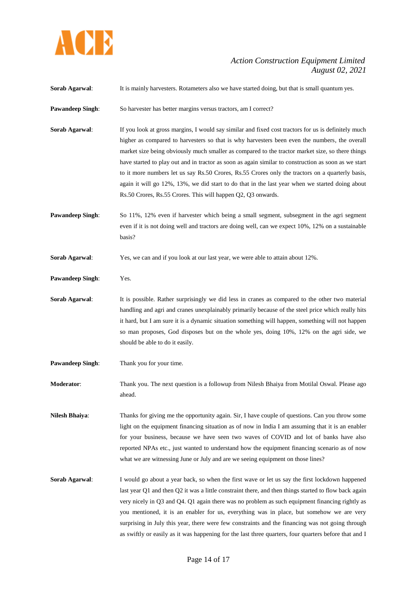

| Sorab Agarwal:          | It is mainly harvesters. Rotameters also we have started doing, but that is small quantum yes.                                                                                                                                                                                                                                                                                                                                                                                                                                                                                                                                                                                          |
|-------------------------|-----------------------------------------------------------------------------------------------------------------------------------------------------------------------------------------------------------------------------------------------------------------------------------------------------------------------------------------------------------------------------------------------------------------------------------------------------------------------------------------------------------------------------------------------------------------------------------------------------------------------------------------------------------------------------------------|
| <b>Pawandeep Singh:</b> | So harvester has better margins versus tractors, am I correct?                                                                                                                                                                                                                                                                                                                                                                                                                                                                                                                                                                                                                          |
| Sorab Agarwal:          | If you look at gross margins, I would say similar and fixed cost tractors for us is definitely much<br>higher as compared to harvesters so that is why harvesters been even the numbers, the overall<br>market size being obviously much smaller as compared to the tractor market size, so there things<br>have started to play out and in tractor as soon as again similar to construction as soon as we start<br>to it more numbers let us say Rs.50 Crores, Rs.55 Crores only the tractors on a quarterly basis,<br>again it will go 12%, 13%, we did start to do that in the last year when we started doing about<br>Rs.50 Crores, Rs.55 Crores. This will happen Q2, Q3 onwards. |
| <b>Pawandeep Singh:</b> | So 11%, 12% even if harvester which being a small segment, subsegment in the agri segment<br>even if it is not doing well and tractors are doing well, can we expect 10%, 12% on a sustainable<br>basis?                                                                                                                                                                                                                                                                                                                                                                                                                                                                                |
| Sorab Agarwal:          | Yes, we can and if you look at our last year, we were able to attain about 12%.                                                                                                                                                                                                                                                                                                                                                                                                                                                                                                                                                                                                         |
| <b>Pawandeep Singh:</b> | Yes.                                                                                                                                                                                                                                                                                                                                                                                                                                                                                                                                                                                                                                                                                    |
| Sorab Agarwal:          | It is possible. Rather surprisingly we did less in cranes as compared to the other two material<br>handling and agri and cranes unexplainably primarily because of the steel price which really hits<br>it hard, but I am sure it is a dynamic situation something will happen, something will not happen<br>so man proposes, God disposes but on the whole yes, doing 10%, 12% on the agri side, we<br>should be able to do it easily.                                                                                                                                                                                                                                                 |
| <b>Pawandeep Singh:</b> | Thank you for your time.                                                                                                                                                                                                                                                                                                                                                                                                                                                                                                                                                                                                                                                                |
| Moderator:              | Thank you. The next question is a followup from Nilesh Bhaiya from Motilal Oswal. Please ago<br>ahead.                                                                                                                                                                                                                                                                                                                                                                                                                                                                                                                                                                                  |
| <b>Nilesh Bhaiya:</b>   | Thanks for giving me the opportunity again. Sir, I have couple of questions. Can you throw some<br>light on the equipment financing situation as of now in India I am assuming that it is an enabler<br>for your business, because we have seen two waves of COVID and lot of banks have also<br>reported NPAs etc., just wanted to understand how the equipment financing scenario as of now<br>what we are witnessing June or July and are we seeing equipment on those lines?                                                                                                                                                                                                        |
| Sorab Agarwal:          | I would go about a year back, so when the first wave or let us say the first lockdown happened<br>last year Q1 and then Q2 it was a little constraint there, and then things started to flow back again<br>very nicely in Q3 and Q4. Q1 again there was no problem as such equipment financing rightly as<br>you mentioned, it is an enabler for us, everything was in place, but somehow we are very<br>surprising in July this year, there were few constraints and the financing was not going through<br>as swiftly or easily as it was happening for the last three quarters, four quarters before that and I                                                                      |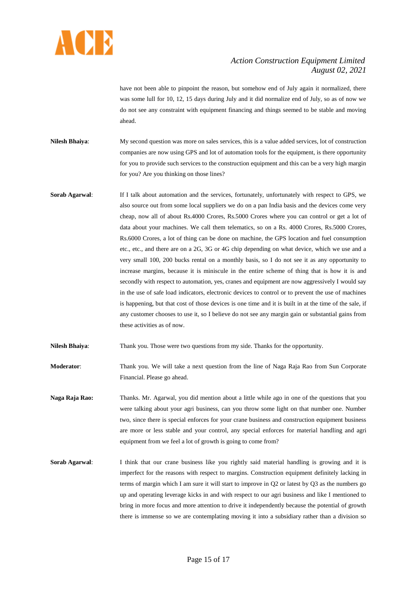

have not been able to pinpoint the reason, but somehow end of July again it normalized, there was some lull for 10, 12, 15 days during July and it did normalize end of July, so as of now we do not see any constraint with equipment financing and things seemed to be stable and moving ahead.

- **Nilesh Bhaiya**: My second question was more on sales services, this is a value added services, lot of construction companies are now using GPS and lot of automation tools for the equipment, is there opportunity for you to provide such services to the construction equipment and this can be a very high margin for you? Are you thinking on those lines?
- **Sorab Agarwal:** If I talk about automation and the services, fortunately, unfortunately with respect to GPS, we also source out from some local suppliers we do on a pan India basis and the devices come very cheap, now all of about Rs.4000 Crores, Rs.5000 Crores where you can control or get a lot of data about your machines. We call them telematics, so on a Rs. 4000 Crores, Rs.5000 Crores, Rs.6000 Crores, a lot of thing can be done on machine, the GPS location and fuel consumption etc., etc., and there are on a 2G, 3G or 4G chip depending on what device, which we use and a very small 100, 200 bucks rental on a monthly basis, so I do not see it as any opportunity to increase margins, because it is miniscule in the entire scheme of thing that is how it is and secondly with respect to automation, yes, cranes and equipment are now aggressively I would say in the use of safe load indicators, electronic devices to control or to prevent the use of machines is happening, but that cost of those devices is one time and it is built in at the time of the sale, if any customer chooses to use it, so I believe do not see any margin gain or substantial gains from these activities as of now.
- **Nilesh Bhaiya**: Thank you. Those were two questions from my side. Thanks for the opportunity.

**Moderator**: Thank you. We will take a next question from the line of Naga Raja Rao from Sun Corporate Financial. Please go ahead.

**Naga Raja Rao:** Thanks. Mr. Agarwal, you did mention about a little while ago in one of the questions that you were talking about your agri business, can you throw some light on that number one. Number two, since there is special enforces for your crane business and construction equipment business are more or less stable and your control, any special enforces for material handling and agri equipment from we feel a lot of growth is going to come from?

**Sorab Agarwal**: I think that our crane business like you rightly said material handling is growing and it is imperfect for the reasons with respect to margins. Construction equipment definitely lacking in terms of margin which I am sure it will start to improve in Q2 or latest by Q3 as the numbers go up and operating leverage kicks in and with respect to our agri business and like I mentioned to bring in more focus and more attention to drive it independently because the potential of growth there is immense so we are contemplating moving it into a subsidiary rather than a division so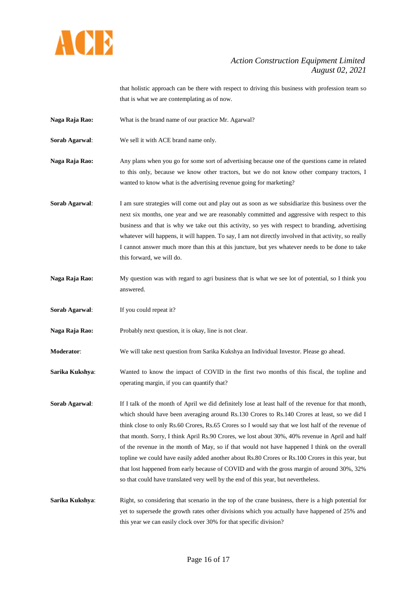

that holistic approach can be there with respect to driving this business with profession team so that is what we are contemplating as of now.

- **Naga Raja Rao:** What is the brand name of our practice Mr. Agarwal?
- **Sorab Agarwal**: We sell it with ACE brand name only.
- **Naga Raja Rao:** Any plans when you go for some sort of advertising because one of the questions came in related to this only, because we know other tractors, but we do not know other company tractors, I wanted to know what is the advertising revenue going for marketing?
- **Sorab Agarwal:** I am sure strategies will come out and play out as soon as we subsidiarize this business over the next six months, one year and we are reasonably committed and aggressive with respect to this business and that is why we take out this activity, so yes with respect to branding, advertising whatever will happens, it will happen. To say, I am not directly involved in that activity, so really I cannot answer much more than this at this juncture, but yes whatever needs to be done to take this forward, we will do.
- **Naga Raja Rao:** My question was with regard to agri business that is what we see lot of potential, so I think you answered.
- **Sorab Agarwal:** If you could repeat it?
- Naga Raja Rao: Probably next question, it is okay, line is not clear.
- **Moderator**: We will take next question from Sarika Kukshya an Individual Investor. Please go ahead.
- **Sarika Kukshya**: Wanted to know the impact of COVID in the first two months of this fiscal, the topline and operating margin, if you can quantify that?
- **Sorab Agarwal**: If I talk of the month of April we did definitely lose at least half of the revenue for that month, which should have been averaging around Rs.130 Crores to Rs.140 Crores at least, so we did I think close to only Rs.60 Crores, Rs.65 Crores so I would say that we lost half of the revenue of that month. Sorry, I think April Rs.90 Crores, we lost about 30%, 40% revenue in April and half of the revenue in the month of May, so if that would not have happened I think on the overall topline we could have easily added another about Rs.80 Crores or Rs.100 Crores in this year, but that lost happened from early because of COVID and with the gross margin of around 30%, 32% so that could have translated very well by the end of this year, but nevertheless.
- **Sarika Kukshya:** Right, so considering that scenario in the top of the crane business, there is a high potential for yet to supersede the growth rates other divisions which you actually have happened of 25% and this year we can easily clock over 30% for that specific division?